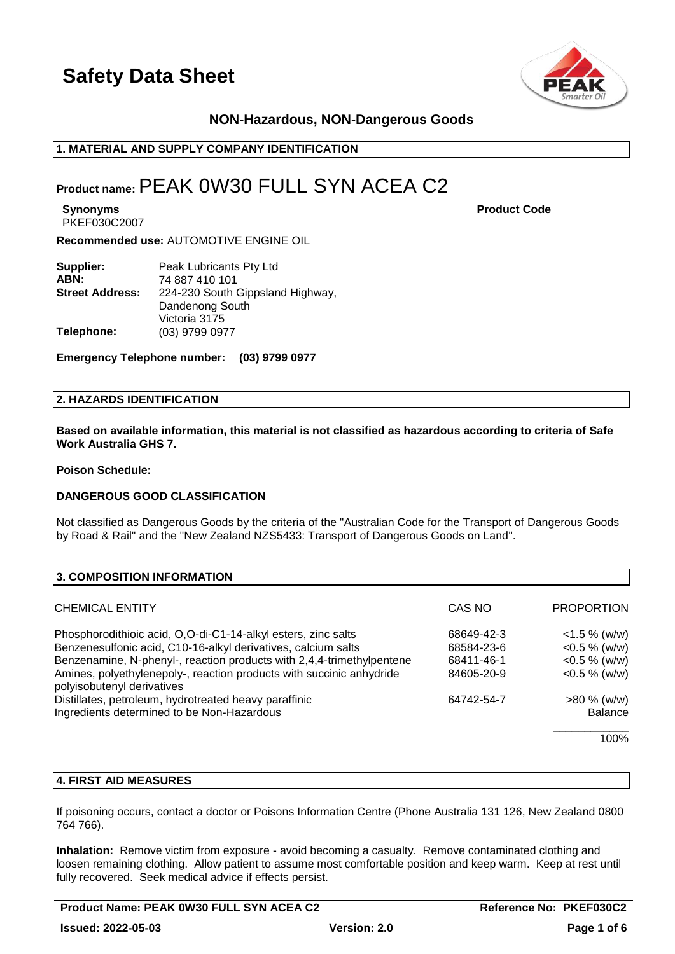

# **NON-Hazardous, NON-Dangerous Goods**

# **1. MATERIAL AND SUPPLY COMPANY IDENTIFICATION**

# **Product name:**PEAK 0W30 FULL SYN ACEA C2

**Synonyms Product Code** PKEF030C2007

**Recommended use:** AUTOMOTIVE ENGINE OIL

| Supplier:              | Peak Lubricants Pty Ltd          |
|------------------------|----------------------------------|
| ABN:                   | 74 887 410 101                   |
| <b>Street Address:</b> | 224-230 South Gippsland Highway, |
|                        | Dandenong South                  |
|                        | Victoria 3175                    |
| Telephone:             | (03) 9799 0977                   |

**Emergency Telephone number: (03) 9799 0977**

# **2. HAZARDS IDENTIFICATION**

**Based on available information, this material is not classified as hazardous according to criteria of Safe Work Australia GHS 7.**

**Poison Schedule:**

### **DANGEROUS GOOD CLASSIFICATION**

Not classified as Dangerous Goods by the criteria of the "Australian Code for the Transport of Dangerous Goods by Road & Rail" and the "New Zealand NZS5433: Transport of Dangerous Goods on Land".

| 3. COMPOSITION INFORMATION                                                                         |            |                   |
|----------------------------------------------------------------------------------------------------|------------|-------------------|
| <b>CHEMICAL ENTITY</b>                                                                             | CAS NO     | <b>PROPORTION</b> |
| Phosphorodithioic acid, O,O-di-C1-14-alkyl esters, zinc salts                                      | 68649-42-3 | $<$ 1.5 % (w/w)   |
| Benzenesulfonic acid, C10-16-alkyl derivatives, calcium salts                                      | 68584-23-6 | $<$ 0.5 % (w/w)   |
| Benzenamine, N-phenyl-, reaction products with 2,4,4-trimethylpentene                              | 68411-46-1 | $<$ 0.5 % (w/w)   |
| Amines, polyethylenepoly-, reaction products with succinic anhydride<br>polyisobutenyl derivatives | 84605-20-9 | $<$ 0.5 % (w/w)   |
| Distillates, petroleum, hydrotreated heavy paraffinic                                              | 64742-54-7 | $>80\%$ (w/w)     |
| Ingredients determined to be Non-Hazardous                                                         |            | <b>Balance</b>    |
|                                                                                                    |            | 100%              |

# **4. FIRST AID MEASURES**

If poisoning occurs, contact a doctor or Poisons Information Centre (Phone Australia 131 126, New Zealand 0800 764 766).

**Inhalation:** Remove victim from exposure - avoid becoming a casualty. Remove contaminated clothing and loosen remaining clothing. Allow patient to assume most comfortable position and keep warm. Keep at rest until fully recovered. Seek medical advice if effects persist.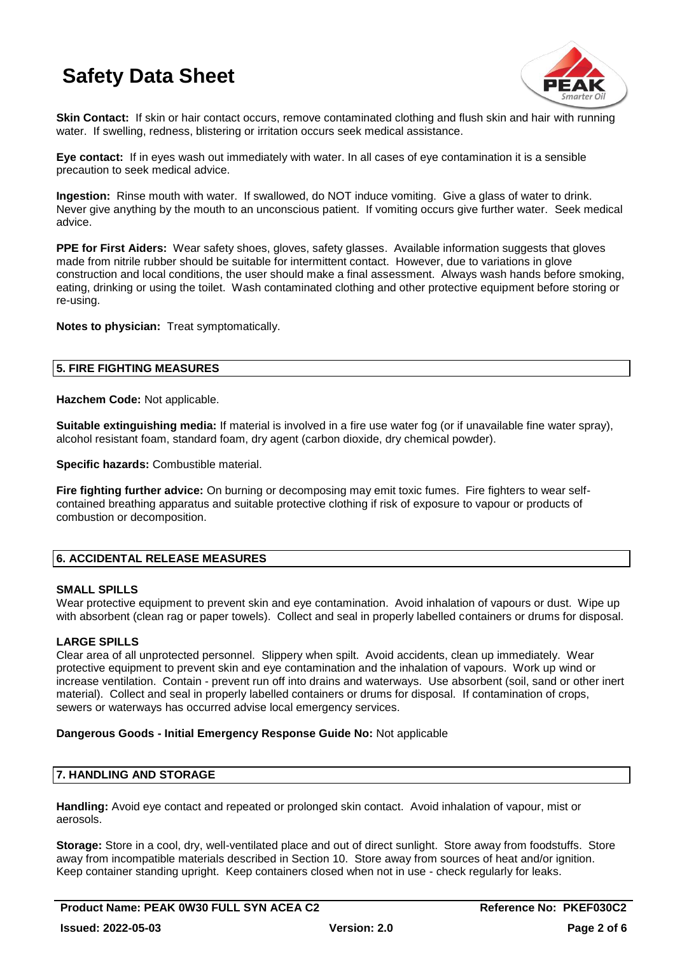

**Skin Contact:** If skin or hair contact occurs, remove contaminated clothing and flush skin and hair with running water. If swelling, redness, blistering or irritation occurs seek medical assistance.

**Eye contact:** If in eyes wash out immediately with water. In all cases of eye contamination it is a sensible precaution to seek medical advice.

**Ingestion:** Rinse mouth with water. If swallowed, do NOT induce vomiting. Give a glass of water to drink. Never give anything by the mouth to an unconscious patient. If vomiting occurs give further water. Seek medical advice.

**PPE for First Aiders:** Wear safety shoes, gloves, safety glasses. Available information suggests that gloves made from nitrile rubber should be suitable for intermittent contact. However, due to variations in glove construction and local conditions, the user should make a final assessment. Always wash hands before smoking, eating, drinking or using the toilet. Wash contaminated clothing and other protective equipment before storing or re-using.

**Notes to physician:** Treat symptomatically.

# **5. FIRE FIGHTING MEASURES**

**Hazchem Code:** Not applicable.

**Suitable extinguishing media:** If material is involved in a fire use water fog (or if unavailable fine water spray), alcohol resistant foam, standard foam, dry agent (carbon dioxide, dry chemical powder).

**Specific hazards:** Combustible material.

**Fire fighting further advice:** On burning or decomposing may emit toxic fumes. Fire fighters to wear selfcontained breathing apparatus and suitable protective clothing if risk of exposure to vapour or products of combustion or decomposition.

# **6. ACCIDENTAL RELEASE MEASURES**

## **SMALL SPILLS**

Wear protective equipment to prevent skin and eye contamination. Avoid inhalation of vapours or dust. Wipe up with absorbent (clean rag or paper towels). Collect and seal in properly labelled containers or drums for disposal.

## **LARGE SPILLS**

Clear area of all unprotected personnel. Slippery when spilt. Avoid accidents, clean up immediately. Wear protective equipment to prevent skin and eye contamination and the inhalation of vapours. Work up wind or increase ventilation. Contain - prevent run off into drains and waterways. Use absorbent (soil, sand or other inert material). Collect and seal in properly labelled containers or drums for disposal. If contamination of crops, sewers or waterways has occurred advise local emergency services.

## **Dangerous Goods - Initial Emergency Response Guide No:** Not applicable

## **7. HANDLING AND STORAGE**

**Handling:** Avoid eye contact and repeated or prolonged skin contact. Avoid inhalation of vapour, mist or aerosols.

**Storage:** Store in a cool, dry, well-ventilated place and out of direct sunlight. Store away from foodstuffs. Store away from incompatible materials described in Section 10. Store away from sources of heat and/or ignition. Keep container standing upright. Keep containers closed when not in use - check regularly for leaks.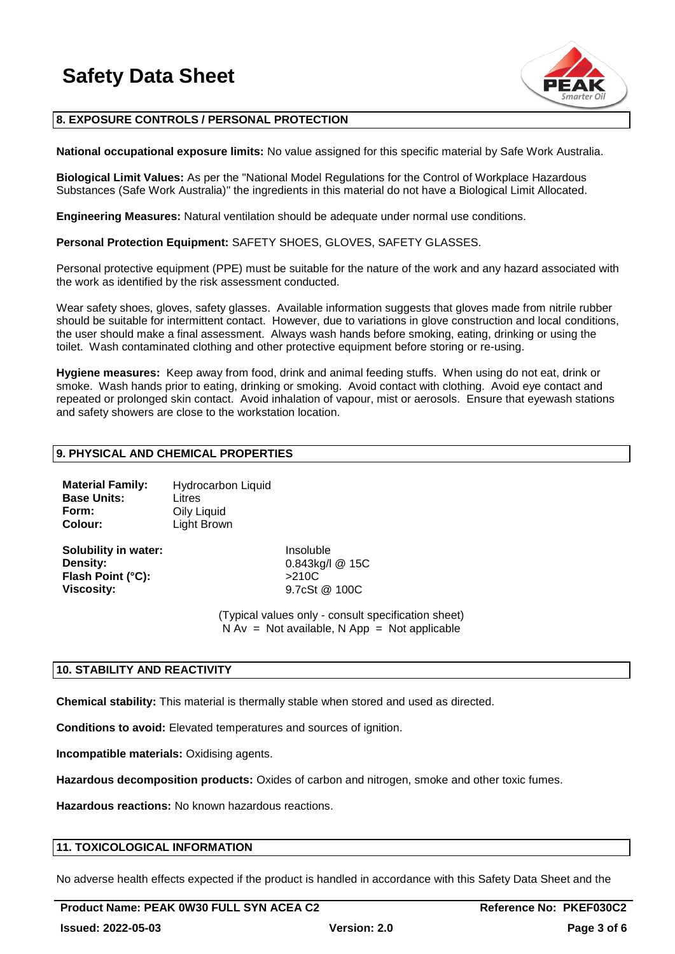

# **8. EXPOSURE CONTROLS / PERSONAL PROTECTION**

**National occupational exposure limits:** No value assigned for this specific material by Safe Work Australia.

**Biological Limit Values:** As per the "National Model Regulations for the Control of Workplace Hazardous Substances (Safe Work Australia)" the ingredients in this material do not have a Biological Limit Allocated.

**Engineering Measures:** Natural ventilation should be adequate under normal use conditions.

**Personal Protection Equipment:** SAFETY SHOES, GLOVES, SAFETY GLASSES.

Personal protective equipment (PPE) must be suitable for the nature of the work and any hazard associated with the work as identified by the risk assessment conducted.

Wear safety shoes, gloves, safety glasses. Available information suggests that gloves made from nitrile rubber should be suitable for intermittent contact. However, due to variations in glove construction and local conditions, the user should make a final assessment. Always wash hands before smoking, eating, drinking or using the toilet. Wash contaminated clothing and other protective equipment before storing or re-using.

**Hygiene measures:** Keep away from food, drink and animal feeding stuffs. When using do not eat, drink or smoke. Wash hands prior to eating, drinking or smoking. Avoid contact with clothing. Avoid eye contact and repeated or prolonged skin contact. Avoid inhalation of vapour, mist or aerosols. Ensure that eyewash stations and safety showers are close to the workstation location.

### **9. PHYSICAL AND CHEMICAL PROPERTIES**

| <b>Material Family:</b> | Hydrocarbon Liquid |
|-------------------------|--------------------|
| <b>Base Units:</b>      | Litres             |
| Form:                   | Oily Liquid        |
| Colour:                 | Light Brown        |

**Solubility in water:** Insoluble **Density:** 0.843kg/l @ 15C Flash Point (°C): >210C **Viscosity:** 9.7cSt @ 100C

(Typical values only - consult specification sheet)  $N Av = Not available, N App = Not applicable$ 

### **10. STABILITY AND REACTIVITY**

**Chemical stability:** This material is thermally stable when stored and used as directed.

**Conditions to avoid:** Elevated temperatures and sources of ignition.

**Incompatible materials:** Oxidising agents.

**Hazardous decomposition products:** Oxides of carbon and nitrogen, smoke and other toxic fumes.

**Hazardous reactions:** No known hazardous reactions.

### **11. TOXICOLOGICAL INFORMATION**

No adverse health effects expected if the product is handled in accordance with this Safety Data Sheet and the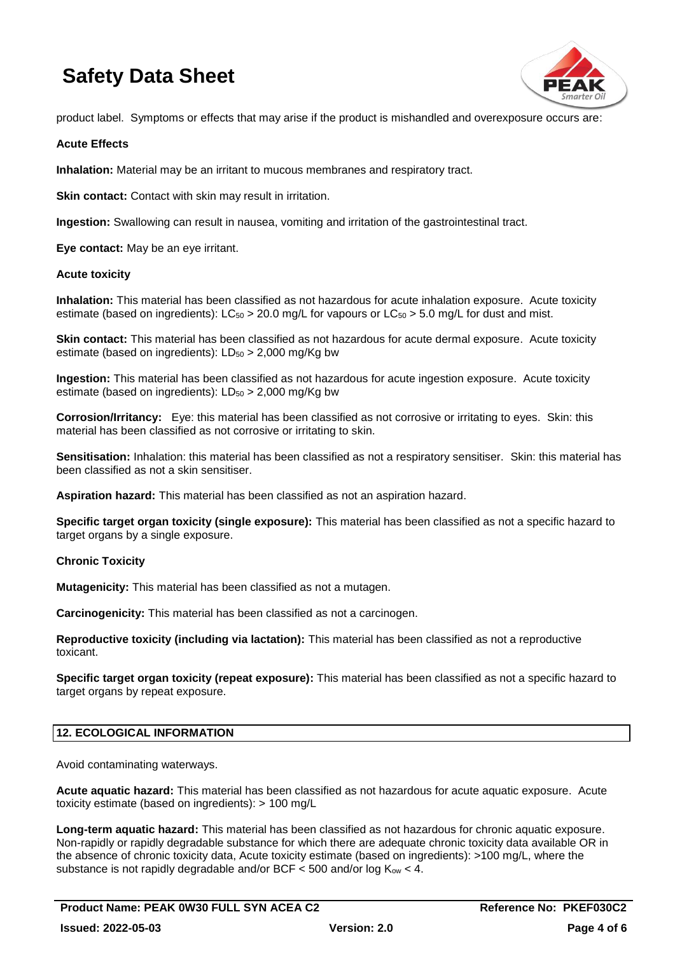

product label. Symptoms or effects that may arise if the product is mishandled and overexposure occurs are:

### **Acute Effects**

**Inhalation:** Material may be an irritant to mucous membranes and respiratory tract.

**Skin contact:** Contact with skin may result in irritation.

**Ingestion:** Swallowing can result in nausea, vomiting and irritation of the gastrointestinal tract.

**Eye contact:** May be an eye irritant.

### **Acute toxicity**

**Inhalation:** This material has been classified as not hazardous for acute inhalation exposure. Acute toxicity estimate (based on ingredients):  $LC_{50} > 20.0$  mg/L for vapours or  $LC_{50} > 5.0$  mg/L for dust and mist.

**Skin contact:** This material has been classified as not hazardous for acute dermal exposure. Acute toxicity estimate (based on ingredients):  $LD_{50} > 2,000$  mg/Kg bw

**Ingestion:** This material has been classified as not hazardous for acute ingestion exposure. Acute toxicity estimate (based on ingredients):  $LD_{50} > 2,000$  mg/Kg bw

**Corrosion/Irritancy:** Eye: this material has been classified as not corrosive or irritating to eyes. Skin: this material has been classified as not corrosive or irritating to skin.

**Sensitisation:** Inhalation: this material has been classified as not a respiratory sensitiser. Skin: this material has been classified as not a skin sensitiser.

**Aspiration hazard:** This material has been classified as not an aspiration hazard.

**Specific target organ toxicity (single exposure):** This material has been classified as not a specific hazard to target organs by a single exposure.

## **Chronic Toxicity**

**Mutagenicity:** This material has been classified as not a mutagen.

**Carcinogenicity:** This material has been classified as not a carcinogen.

**Reproductive toxicity (including via lactation):** This material has been classified as not a reproductive toxicant.

**Specific target organ toxicity (repeat exposure):** This material has been classified as not a specific hazard to target organs by repeat exposure.

## **12. ECOLOGICAL INFORMATION**

Avoid contaminating waterways.

**Acute aquatic hazard:** This material has been classified as not hazardous for acute aquatic exposure. Acute toxicity estimate (based on ingredients): > 100 mg/L

**Long-term aquatic hazard:** This material has been classified as not hazardous for chronic aquatic exposure. Non-rapidly or rapidly degradable substance for which there are adequate chronic toxicity data available OR in the absence of chronic toxicity data, Acute toxicity estimate (based on ingredients): >100 mg/L, where the substance is not rapidly degradable and/or BCF  $<$  500 and/or log K<sub>ow</sub>  $<$  4.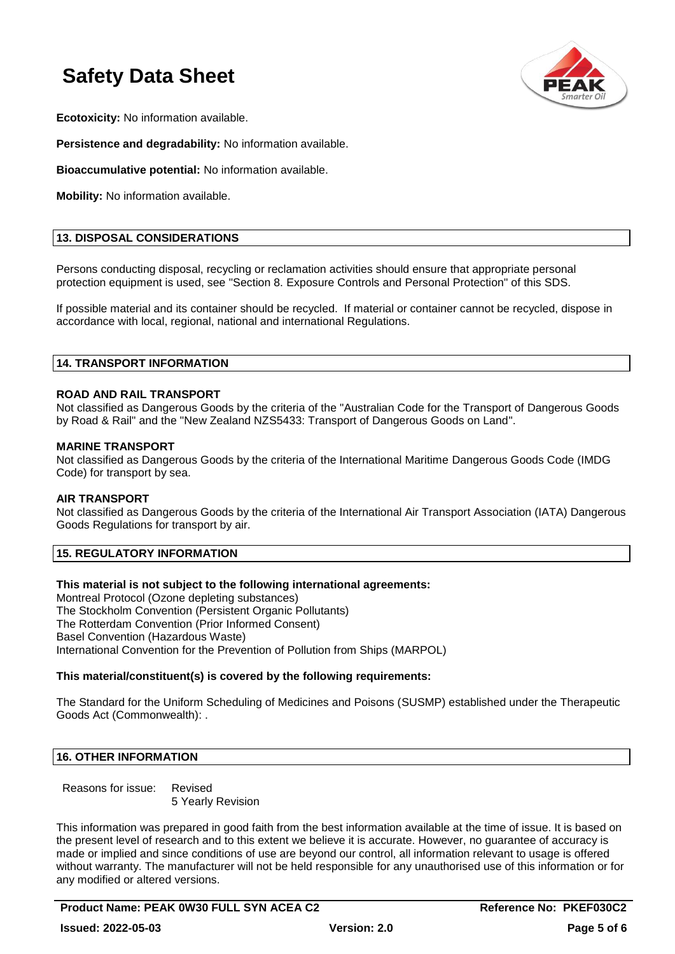

**Ecotoxicity:** No information available.

**Persistence and degradability:** No information available.

**Bioaccumulative potential:** No information available.

**Mobility:** No information available.

### **13. DISPOSAL CONSIDERATIONS**

Persons conducting disposal, recycling or reclamation activities should ensure that appropriate personal protection equipment is used, see "Section 8. Exposure Controls and Personal Protection" of this SDS.

If possible material and its container should be recycled. If material or container cannot be recycled, dispose in accordance with local, regional, national and international Regulations.

### **14. TRANSPORT INFORMATION**

### **ROAD AND RAIL TRANSPORT**

Not classified as Dangerous Goods by the criteria of the "Australian Code for the Transport of Dangerous Goods by Road & Rail" and the "New Zealand NZS5433: Transport of Dangerous Goods on Land".

### **MARINE TRANSPORT**

Not classified as Dangerous Goods by the criteria of the International Maritime Dangerous Goods Code (IMDG Code) for transport by sea.

### **AIR TRANSPORT**

Not classified as Dangerous Goods by the criteria of the International Air Transport Association (IATA) Dangerous Goods Regulations for transport by air.

# **15. REGULATORY INFORMATION**

## **This material is not subject to the following international agreements:**

Montreal Protocol (Ozone depleting substances) The Stockholm Convention (Persistent Organic Pollutants) The Rotterdam Convention (Prior Informed Consent) Basel Convention (Hazardous Waste) International Convention for the Prevention of Pollution from Ships (MARPOL)

### **This material/constituent(s) is covered by the following requirements:**

The Standard for the Uniform Scheduling of Medicines and Poisons (SUSMP) established under the Therapeutic Goods Act (Commonwealth): .

### **16. OTHER INFORMATION**

Reasons for issue: Revised 5 Yearly Revision

This information was prepared in good faith from the best information available at the time of issue. It is based on the present level of research and to this extent we believe it is accurate. However, no guarantee of accuracy is made or implied and since conditions of use are beyond our control, all information relevant to usage is offered without warranty. The manufacturer will not be held responsible for any unauthorised use of this information or for any modified or altered versions.